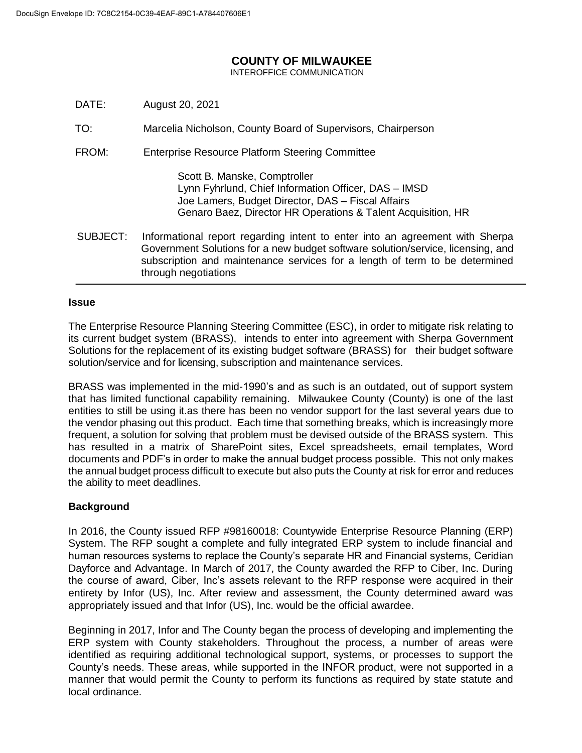# **COUNTY OF MILWAUKEE**

INTEROFFICE COMMUNICATION

- DATE: August 20, 2021
- TO: Marcelia Nicholson, County Board of Supervisors, Chairperson
- FROM: Enterprise Resource Platform Steering Committee

Scott B. Manske, Comptroller Lynn Fyhrlund, Chief Information Officer, DAS – IMSD Joe Lamers, Budget Director, DAS – Fiscal Affairs Genaro Baez, Director HR Operations & Talent Acquisition, HR

SUBJECT: Informational report regarding intent to enter into an agreement with Sherpa Government Solutions for a new budget software solution/service, licensing, and subscription and maintenance services for a length of term to be determined through negotiations

#### **Issue**

The Enterprise Resource Planning Steering Committee (ESC), in order to mitigate risk relating to its current budget system (BRASS), intends to enter into agreement with Sherpa Government Solutions for the replacement of its existing budget software (BRASS) for their budget software solution/service and for licensing, subscription and maintenance services.

BRASS was implemented in the mid-1990's and as such is an outdated, out of support system that has limited functional capability remaining. Milwaukee County (County) is one of the last entities to still be using it.as there has been no vendor support for the last several years due to the vendor phasing out this product. Each time that something breaks, which is increasingly more frequent, a solution for solving that problem must be devised outside of the BRASS system. This has resulted in a matrix of SharePoint sites, Excel spreadsheets, email templates, Word documents and PDF's in order to make the annual budget process possible. This not only makes the annual budget process difficult to execute but also puts the County at risk for error and reduces the ability to meet deadlines.

#### **Background**

In 2016, the County issued RFP #98160018: Countywide Enterprise Resource Planning (ERP) System. The RFP sought a complete and fully integrated ERP system to include financial and human resources systems to replace the County's separate HR and Financial systems, Ceridian Dayforce and Advantage. In March of 2017, the County awarded the RFP to Ciber, Inc. During the course of award, Ciber, Inc's assets relevant to the RFP response were acquired in their entirety by Infor (US), Inc. After review and assessment, the County determined award was appropriately issued and that Infor (US), Inc. would be the official awardee.

Beginning in 2017, Infor and The County began the process of developing and implementing the ERP system with County stakeholders. Throughout the process, a number of areas were identified as requiring additional technological support, systems, or processes to support the County's needs. These areas, while supported in the INFOR product, were not supported in a manner that would permit the County to perform its functions as required by state statute and local ordinance.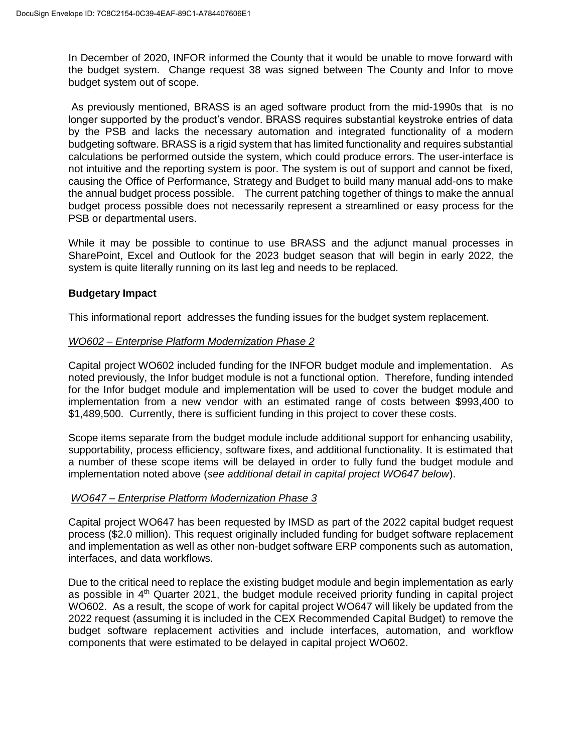In December of 2020, INFOR informed the County that it would be unable to move forward with the budget system. Change request 38 was signed between The County and Infor to move budget system out of scope.

As previously mentioned, BRASS is an aged software product from the mid-1990s that is no longer supported by the product's vendor. BRASS requires substantial keystroke entries of data by the PSB and lacks the necessary automation and integrated functionality of a modern budgeting software. BRASS is a rigid system that has limited functionality and requires substantial calculations be performed outside the system, which could produce errors. The user-interface is not intuitive and the reporting system is poor. The system is out of support and cannot be fixed, causing the Office of Performance, Strategy and Budget to build many manual add-ons to make the annual budget process possible. The current patching together of things to make the annual budget process possible does not necessarily represent a streamlined or easy process for the PSB or departmental users.

While it may be possible to continue to use BRASS and the adjunct manual processes in SharePoint, Excel and Outlook for the 2023 budget season that will begin in early 2022, the system is quite literally running on its last leg and needs to be replaced.

## **Budgetary Impact**

This informational report addresses the funding issues for the budget system replacement.

### *WO602 – Enterprise Platform Modernization Phase 2*

Capital project WO602 included funding for the INFOR budget module and implementation. As noted previously, the Infor budget module is not a functional option. Therefore, funding intended for the Infor budget module and implementation will be used to cover the budget module and implementation from a new vendor with an estimated range of costs between \$993,400 to \$1,489,500. Currently, there is sufficient funding in this project to cover these costs.

Scope items separate from the budget module include additional support for enhancing usability, supportability, process efficiency, software fixes, and additional functionality. It is estimated that a number of these scope items will be delayed in order to fully fund the budget module and implementation noted above (*see additional detail in capital project WO647 below*).

## *WO647 – Enterprise Platform Modernization Phase 3*

Capital project WO647 has been requested by IMSD as part of the 2022 capital budget request process (\$2.0 million). This request originally included funding for budget software replacement and implementation as well as other non-budget software ERP components such as automation, interfaces, and data workflows.

Due to the critical need to replace the existing budget module and begin implementation as early as possible in  $4<sup>th</sup>$  Quarter 2021, the budget module received priority funding in capital project WO602. As a result, the scope of work for capital project WO647 will likely be updated from the 2022 request (assuming it is included in the CEX Recommended Capital Budget) to remove the budget software replacement activities and include interfaces, automation, and workflow components that were estimated to be delayed in capital project WO602.